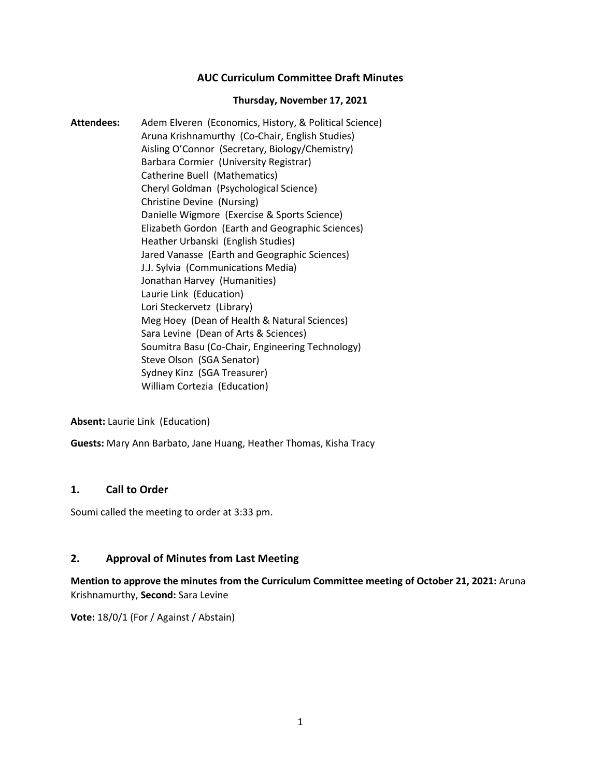# **AUC Curriculum Committee Draft Minutes**

#### **Thursday, November 17, 2021**

**Attendees:** Adem Elveren (Economics, History, & Political Science) Aruna Krishnamurthy (Co-Chair, English Studies) Aisling O'Connor (Secretary, Biology/Chemistry) Barbara Cormier (University Registrar) Catherine Buell (Mathematics) Cheryl Goldman (Psychological Science) Christine Devine (Nursing) Danielle Wigmore (Exercise & Sports Science) Elizabeth Gordon (Earth and Geographic Sciences) Heather Urbanski (English Studies) Jared Vanasse (Earth and Geographic Sciences) J.J. Sylvia (Communications Media) Jonathan Harvey (Humanities) Laurie Link (Education) Lori Steckervetz (Library) Meg Hoey (Dean of Health & Natural Sciences) Sara Levine (Dean of Arts & Sciences) Soumitra Basu (Co-Chair, Engineering Technology) Steve Olson (SGA Senator) Sydney Kinz (SGA Treasurer) William Cortezia (Education)

**Absent:** Laurie Link (Education)

**Guests:** Mary Ann Barbato, Jane Huang, Heather Thomas, Kisha Tracy

#### **1. Call to Order**

Soumi called the meeting to order at 3:33 pm.

### **2. Approval of Minutes from Last Meeting**

**Mention to approve the minutes from the Curriculum Committee meeting of October 21, 2021:** Aruna Krishnamurthy, **Second:** Sara Levine

**Vote:** 18/0/1 (For / Against / Abstain)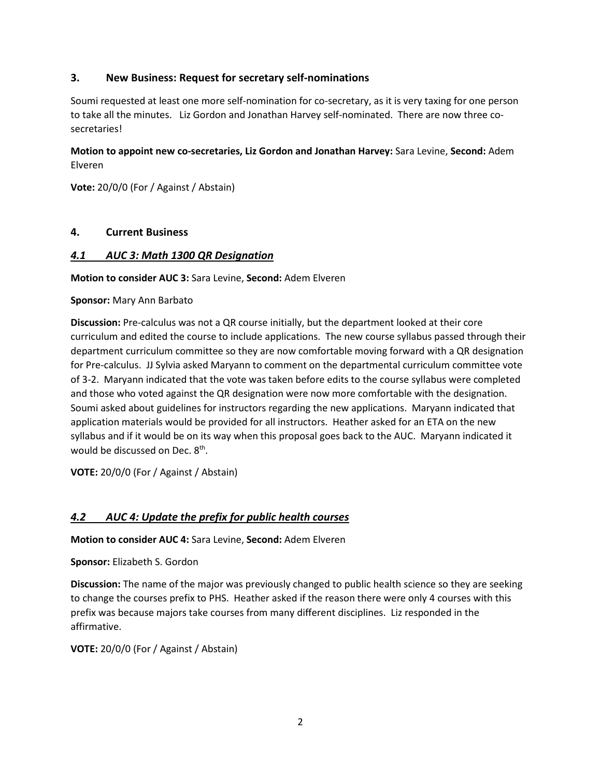# **3. New Business: Request for secretary self-nominations**

Soumi requested at least one more self-nomination for co-secretary, as it is very taxing for one person to take all the minutes. Liz Gordon and Jonathan Harvey self-nominated. There are now three cosecretaries!

# **Motion to appoint new co-secretaries, Liz Gordon and Jonathan Harvey:** Sara Levine, **Second:** Adem Elveren

**Vote:** 20/0/0 (For / Against / Abstain)

# **4. Current Business**

### *4.1 AUC 3: Math 1300 QR Designation*

**Motion to consider AUC 3:** Sara Levine, **Second:** Adem Elveren

**Sponsor:** Mary Ann Barbato

**Discussion:** Pre-calculus was not a QR course initially, but the department looked at their core curriculum and edited the course to include applications. The new course syllabus passed through their department curriculum committee so they are now comfortable moving forward with a QR designation for Pre-calculus. JJ Sylvia asked Maryann to comment on the departmental curriculum committee vote of 3-2. Maryann indicated that the vote was taken before edits to the course syllabus were completed and those who voted against the QR designation were now more comfortable with the designation. Soumi asked about guidelines for instructors regarding the new applications. Maryann indicated that application materials would be provided for all instructors. Heather asked for an ETA on the new syllabus and if it would be on its way when this proposal goes back to the AUC. Maryann indicated it would be discussed on Dec. 8<sup>th</sup>.

**VOTE:** 20/0/0 (For / Against / Abstain)

# *4.2 AUC 4: Update the prefix for public health courses*

**Motion to consider AUC 4:** Sara Levine, **Second:** Adem Elveren

**Sponsor:** Elizabeth S. Gordon

**Discussion:** The name of the major was previously changed to public health science so they are seeking to change the courses prefix to PHS. Heather asked if the reason there were only 4 courses with this prefix was because majors take courses from many different disciplines. Liz responded in the affirmative.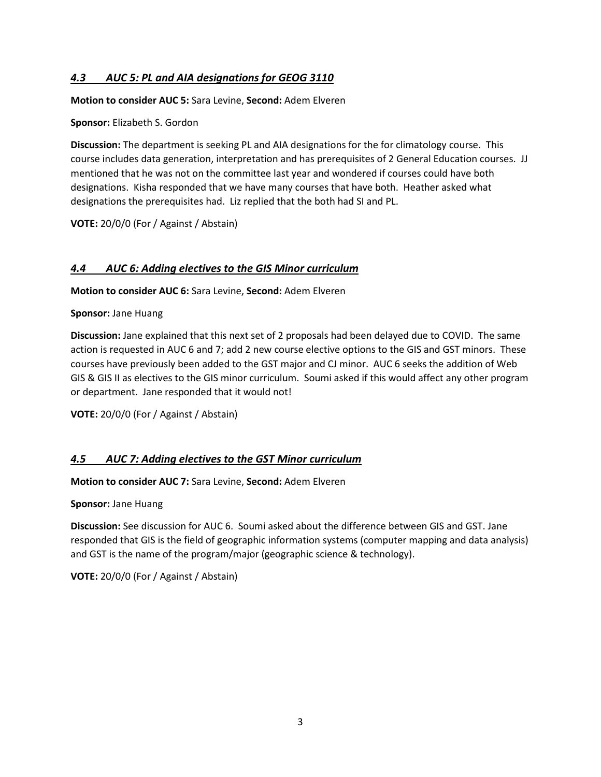# *4.3 AUC 5: PL and AIA designations for GEOG 3110*

**Motion to consider AUC 5:** Sara Levine, **Second:** Adem Elveren

### **Sponsor:** Elizabeth S. Gordon

**Discussion:** The department is seeking PL and AIA designations for the for climatology course. This course includes data generation, interpretation and has prerequisites of 2 General Education courses. JJ mentioned that he was not on the committee last year and wondered if courses could have both designations. Kisha responded that we have many courses that have both. Heather asked what designations the prerequisites had. Liz replied that the both had SI and PL.

**VOTE:** 20/0/0 (For / Against / Abstain)

# *4.4 AUC 6: Adding electives to the GIS Minor curriculum*

**Motion to consider AUC 6:** Sara Levine, **Second:** Adem Elveren

**Sponsor:** Jane Huang

**Discussion:** Jane explained that this next set of 2 proposals had been delayed due to COVID. The same action is requested in AUC 6 and 7; add 2 new course elective options to the GIS and GST minors. These courses have previously been added to the GST major and CJ minor. AUC 6 seeks the addition of Web GIS & GIS II as electives to the GIS minor curriculum. Soumi asked if this would affect any other program or department. Jane responded that it would not!

**VOTE:** 20/0/0 (For / Against / Abstain)

# *4.5 AUC 7: Adding electives to the GST Minor curriculum*

**Motion to consider AUC 7:** Sara Levine, **Second:** Adem Elveren

**Sponsor:** Jane Huang

**Discussion:** See discussion for AUC 6. Soumi asked about the difference between GIS and GST. Jane responded that GIS is the field of geographic information systems (computer mapping and data analysis) and GST is the name of the program/major (geographic science & technology).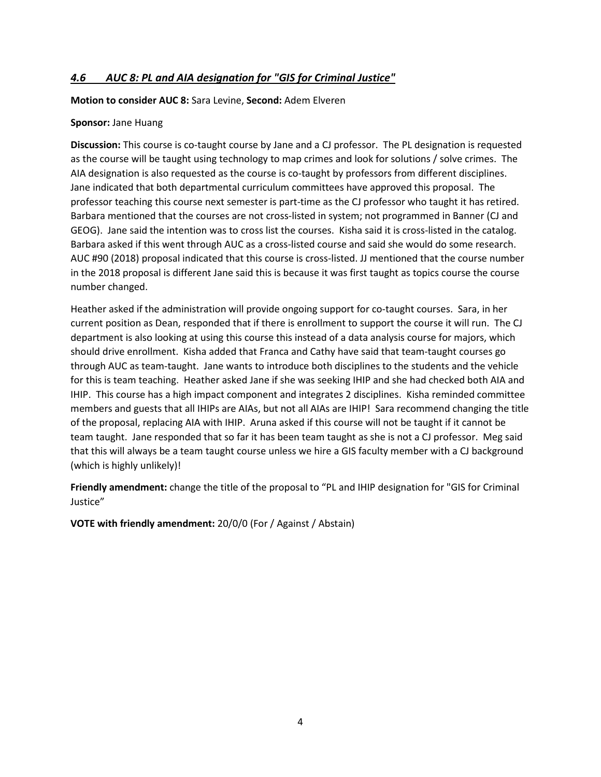# *4.6 AUC 8: PL and AIA designation for "GIS for Criminal Justice"*

#### **Motion to consider AUC 8:** Sara Levine, **Second:** Adem Elveren

#### **Sponsor:** Jane Huang

**Discussion:** This course is co-taught course by Jane and a CJ professor. The PL designation is requested as the course will be taught using technology to map crimes and look for solutions / solve crimes. The AIA designation is also requested as the course is co-taught by professors from different disciplines. Jane indicated that both departmental curriculum committees have approved this proposal. The professor teaching this course next semester is part-time as the CJ professor who taught it has retired. Barbara mentioned that the courses are not cross-listed in system; not programmed in Banner (CJ and GEOG). Jane said the intention was to cross list the courses. Kisha said it is cross-listed in the catalog. Barbara asked if this went through AUC as a cross-listed course and said she would do some research. AUC #90 (2018) proposal indicated that this course is cross-listed. JJ mentioned that the course number in the 2018 proposal is different Jane said this is because it was first taught as topics course the course number changed.

Heather asked if the administration will provide ongoing support for co-taught courses. Sara, in her current position as Dean, responded that if there is enrollment to support the course it will run. The CJ department is also looking at using this course this instead of a data analysis course for majors, which should drive enrollment. Kisha added that Franca and Cathy have said that team-taught courses go through AUC as team-taught. Jane wants to introduce both disciplines to the students and the vehicle for this is team teaching. Heather asked Jane if she was seeking IHIP and she had checked both AIA and IHIP. This course has a high impact component and integrates 2 disciplines. Kisha reminded committee members and guests that all IHIPs are AIAs, but not all AIAs are IHIP! Sara recommend changing the title of the proposal, replacing AIA with IHIP. Aruna asked if this course will not be taught if it cannot be team taught. Jane responded that so far it has been team taught as she is not a CJ professor. Meg said that this will always be a team taught course unless we hire a GIS faculty member with a CJ background (which is highly unlikely)!

**Friendly amendment:** change the title of the proposal to "PL and IHIP designation for "GIS for Criminal Justice"

**VOTE with friendly amendment:** 20/0/0 (For / Against / Abstain)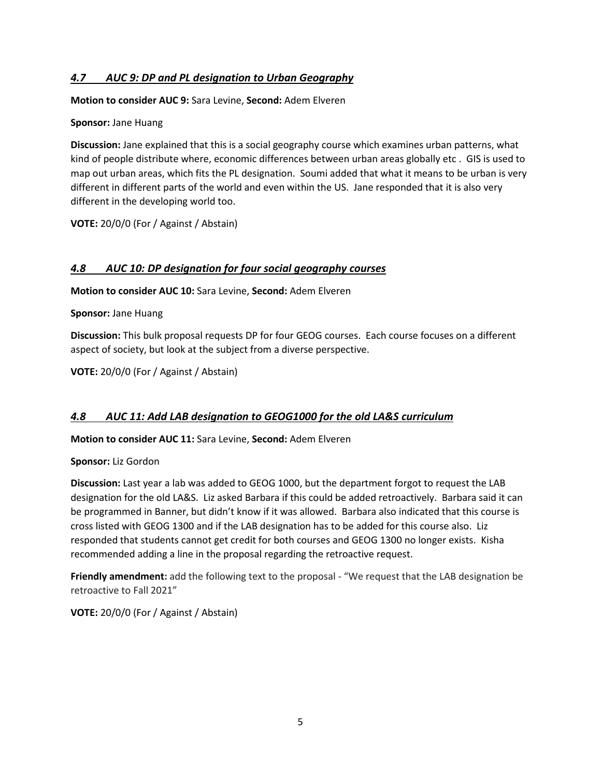# *4.7 AUC 9: DP and PL designation to Urban Geography*

**Motion to consider AUC 9:** Sara Levine, **Second:** Adem Elveren

### **Sponsor:** Jane Huang

**Discussion:** Jane explained that this is a social geography course which examines urban patterns, what kind of people distribute where, economic differences between urban areas globally etc . GIS is used to map out urban areas, which fits the PL designation. Soumi added that what it means to be urban is very different in different parts of the world and even within the US. Jane responded that it is also very different in the developing world too.

**VOTE:** 20/0/0 (For / Against / Abstain)

# *4.8 AUC 10: DP designation for four social geography courses*

**Motion to consider AUC 10:** Sara Levine, **Second:** Adem Elveren

**Sponsor:** Jane Huang

**Discussion:** This bulk proposal requests DP for four GEOG courses. Each course focuses on a different aspect of society, but look at the subject from a diverse perspective.

**VOTE:** 20/0/0 (For / Against / Abstain)

# *4.8 AUC 11: Add LAB designation to GEOG1000 for the old LA&S curriculum*

**Motion to consider AUC 11:** Sara Levine, **Second:** Adem Elveren

**Sponsor:** Liz Gordon

**Discussion:** Last year a lab was added to GEOG 1000, but the department forgot to request the LAB designation for the old LA&S. Liz asked Barbara if this could be added retroactively. Barbara said it can be programmed in Banner, but didn't know if it was allowed. Barbara also indicated that this course is cross listed with GEOG 1300 and if the LAB designation has to be added for this course also. Liz responded that students cannot get credit for both courses and GEOG 1300 no longer exists. Kisha recommended adding a line in the proposal regarding the retroactive request.

**Friendly amendment:** add the following text to the proposal - "We request that the LAB designation be retroactive to Fall 2021"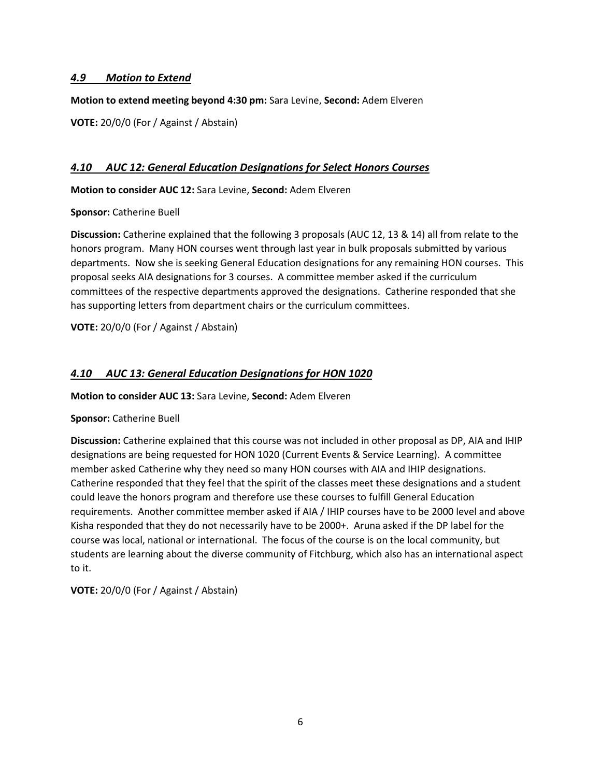# *4.9 Motion to Extend*

**Motion to extend meeting beyond 4:30 pm:** Sara Levine, **Second:** Adem Elveren

**VOTE:** 20/0/0 (For / Against / Abstain)

### *4.10 AUC 12: General Education Designations for Select Honors Courses*

**Motion to consider AUC 12:** Sara Levine, **Second:** Adem Elveren

**Sponsor:** Catherine Buell

**Discussion:** Catherine explained that the following 3 proposals (AUC 12, 13 & 14) all from relate to the honors program. Many HON courses went through last year in bulk proposals submitted by various departments. Now she is seeking General Education designations for any remaining HON courses. This proposal seeks AIA designations for 3 courses. A committee member asked if the curriculum committees of the respective departments approved the designations. Catherine responded that she has supporting letters from department chairs or the curriculum committees.

**VOTE:** 20/0/0 (For / Against / Abstain)

# *4.10 AUC 13: General Education Designations for HON 1020*

**Motion to consider AUC 13:** Sara Levine, **Second:** Adem Elveren

#### **Sponsor:** Catherine Buell

**Discussion:** Catherine explained that this course was not included in other proposal as DP, AIA and IHIP designations are being requested for HON 1020 (Current Events & Service Learning). A committee member asked Catherine why they need so many HON courses with AIA and IHIP designations. Catherine responded that they feel that the spirit of the classes meet these designations and a student could leave the honors program and therefore use these courses to fulfill General Education requirements. Another committee member asked if AIA / IHIP courses have to be 2000 level and above Kisha responded that they do not necessarily have to be 2000+. Aruna asked if the DP label for the course was local, national or international. The focus of the course is on the local community, but students are learning about the diverse community of Fitchburg, which also has an international aspect to it.